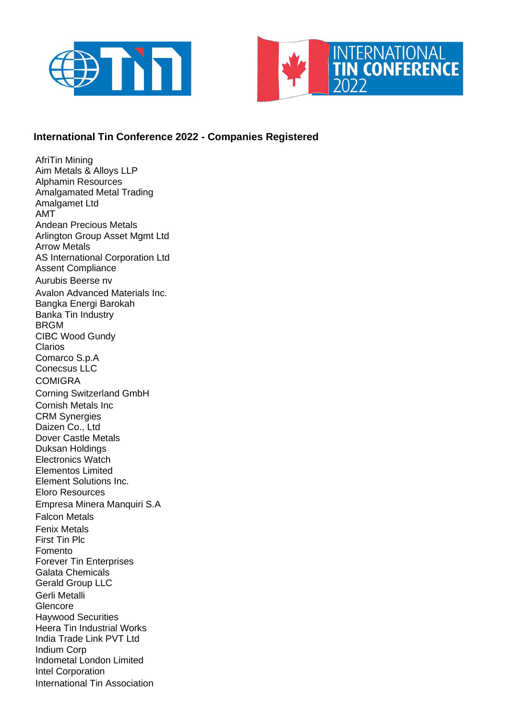



## **International Tin Conference 2022 - Companies Registered**

AfriTin Mining Aim Metals & Alloys LLP Alphamin Resources Amalgamated Metal Trading Amalgamet Ltd AMT Andean Precious Metals Arlington Group Asset Mgmt Ltd Arrow Metals AS International Corporation Ltd Assent Compliance Aurubis Beerse nv Avalon Advanced Materials Inc. Bangka Energi Barokah Banka Tin Industry BRGM CIBC Wood Gundy Clarios Comarco S.p.A Conecsus LLC **COMIGRA** Corning Switzerland GmbH Cornish Metals Inc CRM Synergies Daizen Co., Ltd Dover Castle Metals Duksan Holdings Electronics Watch Elementos Limited Element Solutions Inc. Eloro Resources Empresa Minera Manquiri S.A Falcon Metals Fenix Metals First Tin Plc Fomento Forever Tin Enterprises Galata Chemicals Gerald Group LLC Gerli Metalli **Glencore** Haywood Securities Heera Tin Industrial Works India Trade Link PVT Ltd Indium Corp Indometal London Limited Intel Corporation International Tin Association